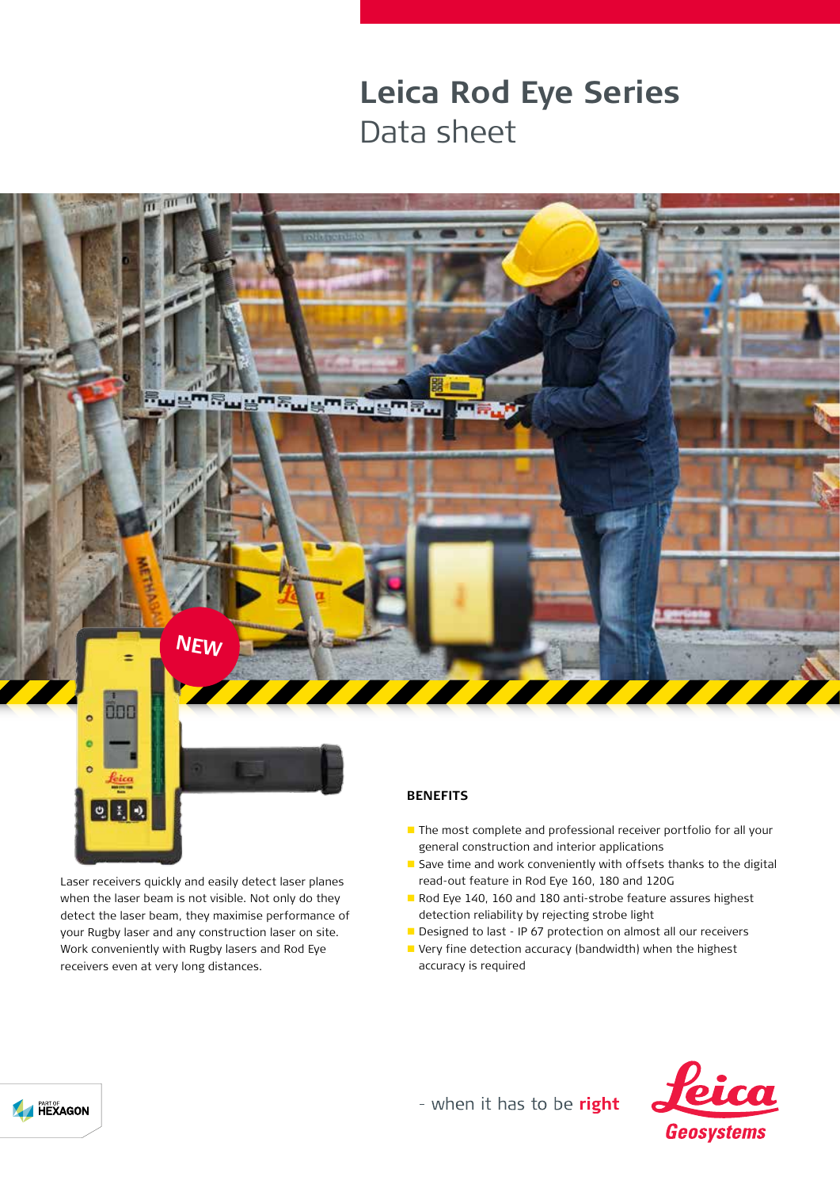## **Leica Rod Eye Series** Data sheet



Laser receivers quickly and easily detect laser planes when the laser beam is not visible. Not only do they detect the laser beam, they maximise performance of your Rugby laser and any construction laser on site. Work conveniently with Rugby lasers and Rod Eye receivers even at very long distances.

## **BENEFITS**

- The most complete and professional receiver portfolio for all your general construction and interior applications
- $\blacksquare$  Save time and work conveniently with offsets thanks to the digital read-out feature in Rod Eye 160, 180 and 120G
- Rod Eye 140, 160 and 180 anti-strobe feature assures highest detection reliability by rejecting strobe light
- Designed to last IP 67 protection on almost all our receivers
- Very fine detection accuracy (bandwidth) when the highest accuracy is required



- when it has to be right